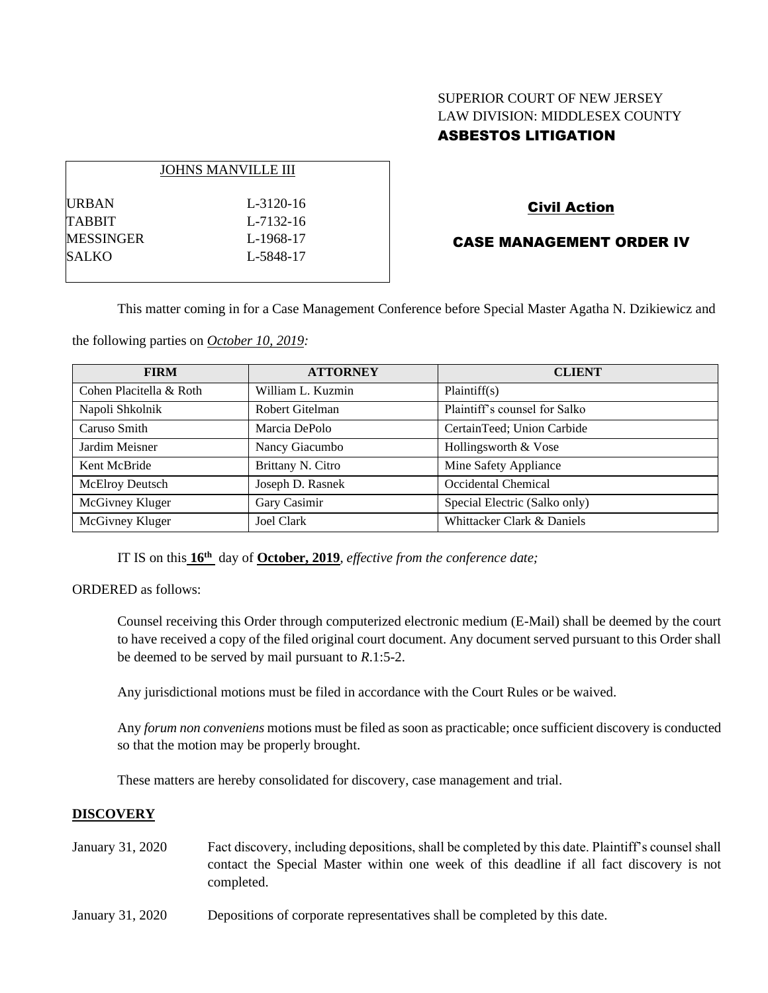# SUPERIOR COURT OF NEW JERSEY LAW DIVISION: MIDDLESEX COUNTY ASBESTOS LITIGATION

|                  | <b>JOHNS MANVILLE III</b> |
|------------------|---------------------------|
| <b>URBAN</b>     | $L - 3120 - 16$           |
| TABBIT           | L-7132-16                 |
| <b>MESSINGER</b> | L-1968-17                 |
| <b>SALKO</b>     | L-5848-17                 |
|                  |                           |

# Civil Action

# CASE MANAGEMENT ORDER IV

This matter coming in for a Case Management Conference before Special Master Agatha N. Dzikiewicz and

the following parties on *October 10, 2019:*

| <b>FIRM</b>             | <b>ATTORNEY</b>   | <b>CLIENT</b>                 |
|-------------------------|-------------------|-------------------------------|
| Cohen Placitella & Roth | William L. Kuzmin | Plaintiff(s)                  |
| Napoli Shkolnik         | Robert Gitelman   | Plaintiff's counsel for Salko |
| Caruso Smith            | Marcia DePolo     | CertainTeed; Union Carbide    |
| Jardim Meisner          | Nancy Giacumbo    | Hollingsworth & Vose          |
| Kent McBride            | Brittany N. Citro | Mine Safety Appliance         |
| McElroy Deutsch         | Joseph D. Rasnek  | Occidental Chemical           |
| McGivney Kluger         | Gary Casimir      | Special Electric (Salko only) |
| McGivney Kluger         | <b>Joel Clark</b> | Whittacker Clark & Daniels    |

IT IS on this **16th** day of **October, 2019**, *effective from the conference date;*

ORDERED as follows:

Counsel receiving this Order through computerized electronic medium (E-Mail) shall be deemed by the court to have received a copy of the filed original court document. Any document served pursuant to this Order shall be deemed to be served by mail pursuant to *R*.1:5-2.

Any jurisdictional motions must be filed in accordance with the Court Rules or be waived.

Any *forum non conveniens* motions must be filed as soon as practicable; once sufficient discovery is conducted so that the motion may be properly brought.

These matters are hereby consolidated for discovery, case management and trial.

#### **DISCOVERY**

- January 31, 2020 Fact discovery, including depositions, shall be completed by this date. Plaintiff's counsel shall contact the Special Master within one week of this deadline if all fact discovery is not completed.
- January 31, 2020 Depositions of corporate representatives shall be completed by this date.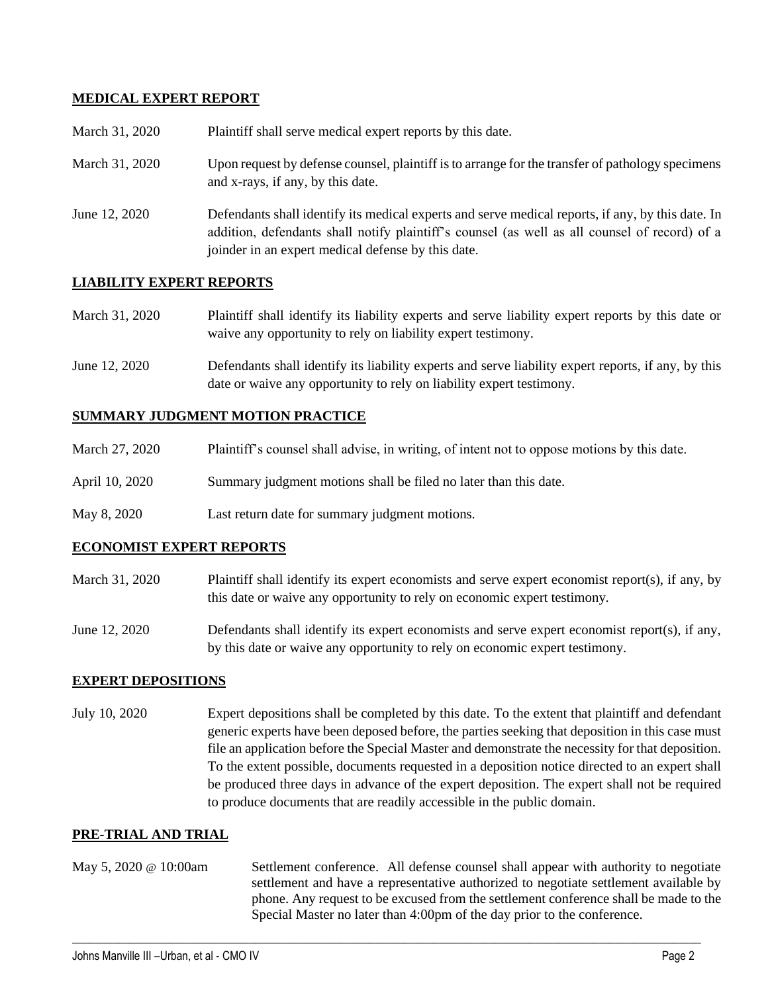# **MEDICAL EXPERT REPORT**

| March 31, 2020 | Plaintiff shall serve medical expert reports by this date.                                                                                                                                                                                               |
|----------------|----------------------------------------------------------------------------------------------------------------------------------------------------------------------------------------------------------------------------------------------------------|
| March 31, 2020 | Upon request by defense counsel, plaintiff is to arrange for the transfer of pathology specimens<br>and x-rays, if any, by this date.                                                                                                                    |
| June 12, 2020  | Defendants shall identify its medical experts and serve medical reports, if any, by this date. In<br>addition, defendants shall notify plaintiff's counsel (as well as all counsel of record) of a<br>joinder in an expert medical defense by this date. |

## **LIABILITY EXPERT REPORTS**

| March 31, 2020 | Plaintiff shall identify its liability experts and serve liability expert reports by this date or |
|----------------|---------------------------------------------------------------------------------------------------|
|                | waive any opportunity to rely on liability expert testimony.                                      |

June 12, 2020 Defendants shall identify its liability experts and serve liability expert reports, if any, by this date or waive any opportunity to rely on liability expert testimony.

## **SUMMARY JUDGMENT MOTION PRACTICE**

| March 27, 2020 | Plaintiff's counsel shall advise, in writing, of intent not to oppose motions by this date. |
|----------------|---------------------------------------------------------------------------------------------|
| April 10, 2020 | Summary judgment motions shall be filed no later than this date.                            |
| May 8, 2020    | Last return date for summary judgment motions.                                              |

## **ECONOMIST EXPERT REPORTS**

- March 31, 2020 Plaintiff shall identify its expert economists and serve expert economist report(s), if any, by this date or waive any opportunity to rely on economic expert testimony.
- June 12, 2020 Defendants shall identify its expert economists and serve expert economist report(s), if any, by this date or waive any opportunity to rely on economic expert testimony.

## **EXPERT DEPOSITIONS**

July 10, 2020 Expert depositions shall be completed by this date. To the extent that plaintiff and defendant generic experts have been deposed before, the parties seeking that deposition in this case must file an application before the Special Master and demonstrate the necessity for that deposition. To the extent possible, documents requested in a deposition notice directed to an expert shall be produced three days in advance of the expert deposition. The expert shall not be required to produce documents that are readily accessible in the public domain.

## **PRE-TRIAL AND TRIAL**

May 5, 2020 @ 10:00am Settlement conference. All defense counsel shall appear with authority to negotiate settlement and have a representative authorized to negotiate settlement available by phone. Any request to be excused from the settlement conference shall be made to the Special Master no later than 4:00pm of the day prior to the conference.

 $\_$  , and the set of the set of the set of the set of the set of the set of the set of the set of the set of the set of the set of the set of the set of the set of the set of the set of the set of the set of the set of th